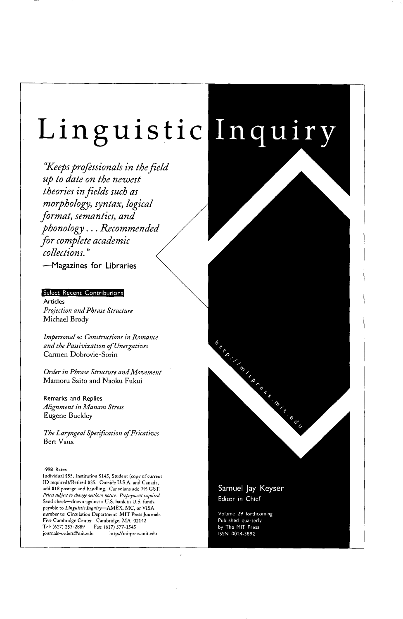# Linguistic Inquiry

"Keeps professionals in the field up to date on the newest theories in fields such as morphology, syntax, logical format, semantics, and phonology...Recommended for complete academic collections."

-Magazines for Libraries

#### Select Recent Contributions

Articles Projection and Phrase Structure Michael Brody

Impersonal se Constructions in Romance and the Passivization of Unergatives Carmen Dobrovie-Sorin

Order in Phrase Structure and Movement Mamoru Saito and Naoku Fukui

Remarks and Replies Alignment in Manam Stress **Eugene Buckley** 

The Laryngeal Specification of Fricatives Bert Vaux

#### 1998 Rates

Individual \$55, Institution \$145, Student (copy of current ID required)/Retired \$35. Outside U.S.A. and Canada, add \$18 postage and handling. Canadians add 7% GST. Prices subject to change without notice. Prepayment required. Send check-drawn against a U.S. bank in U.S. funds, payable to Linguistic Inquiry-AMEX, MC, or VISA number to: Circulation Department MIT Press Journals Five Cambridge Center Cambridge, MA 02142<br>Tel: (617) 253-2889 Fax: (617) 577-1545 journals-orders@mit.edu http://mitpress.mit.edu

Samuel Jay Keyser Editor in Chief

Michigan Concession Canada

Volume 29 forthcoming Published quarterly by The MIT Press ISSN 0024-3892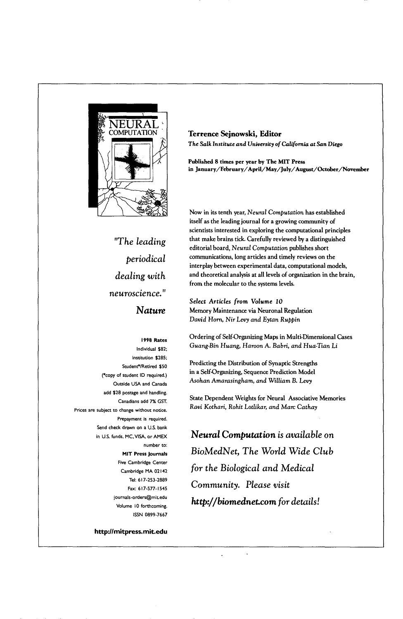

**Terrence Sejnowski, Editor** *The Salk Institute and University of California at San Diego* 

Published 8 **times per year by The MIT Press**  *in January/February/April/May/July/August/October/November* 

Now in its tenth year, *Neural Computation* has established itself as the leading journal for a growing community of scientists interested in exploring the computational principles that make brains tick. Carefully reviewed by a distinguished editorial board, *Neural Computation* publishes short communications, long articles and timely reviews on the interplay between experimental data, computational models, and theoretical analysis at all levels of organization in the brain, from the molecular to the systems levels.

*Select Articles from Volume I0*  Memory Maintenance via Neuronal Regulation *David Horn, Nir Levy and Eytan Ruppin* 

Ordering of Self-Organizing Maps in Multi-Dimensional Cases *Guang-Bin Huang, Haroon A. Babri, and Hua-Tian Li* 

Predicting the Distribution of Synaptic Strengths in a Self-Organizing, Sequence Prediction Model *Asohan Amarasingham, and William B. Levy* 

State Dependent Weights for Neural Associative Memories *Ravi Kothari, Rohit Lotlikar, and Marc Cathay* 

*Neural Computation is available on BioMedNet, The World Wide Club for the Biological and Medical Community. Please visit http://biomednet.cora for details!* 

*"The leading periodical dealing with neuroscience." Nature* 

#### **1998 Rates**

Individual \$82; institution \$285; Student\*/Retired \$50 (\*copy of student ID required.) Outside USA and Canada add \$28 postage and handling. Canadians add 7% GST. Prices are subject to change without notice. Prepayment is required. Send check drawn on a U.S. bank in U.S. funds, MC,VISA, or AMEX number to: MIT Press Journals Five Cambridge Center Cambridge MA 02142 Tel: **617-253-2889**  *Fax: 617-577-1545*  journals-orders@mit.edu Volume 10 forthcoming. ISSN 0899-7667

*http:l lmitpress.mit.edu*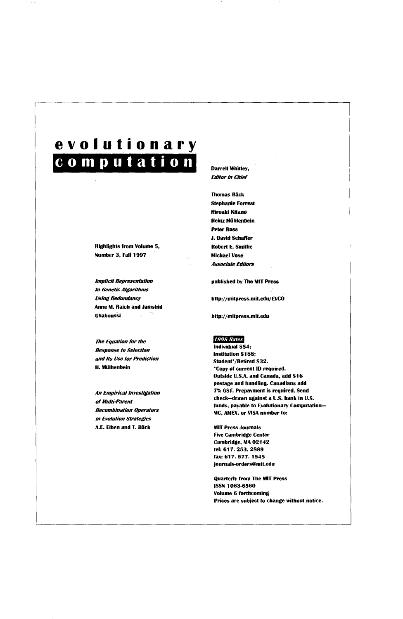## **evolutionary computation 1**

Highlights from Volume 5, Number 3, Fail 1997

*Implicit Representation In Genetic Algorithms Using Redundancy*  Anne M, Raich and Jamshid Ghaboussi

*7he Equation for the Response to Selection and Its Use for Prediction*  H. Miilhenbein

*An Empirical Investigation of Multi-Parent Recombination Operators in Evolution Strategies*  A.E. Eiben and T. Bäck

#### Darrell Whitley, *Editor in Chief*

**Thomas Bäck** Stephanie Forrest Hiroaki Kitano Heinz Mühlenbein Peter Ross J. David Schaffer Robert E. Smithe Michael Vese *Associate Editors* 

published by The MIT Press

http://mitpress.mit.edu/EVCO

http://mitpress.mit,edn

#### 1998 Rates

Individual \$54; Institution \$188; Student\*/Retired \$32. \*Copy of current ID required. Outside U.S.A. and Canada, add \$16 postage and handling. Canadians add 7% GST. Prepayment is required. Send cbeck.-drawn against a U.S. bank in U.S. funds, payable to Evolutionary Computation-MC, AMEX, or VISA number to:

MIT Press Journals Five Cambridge Center Cambridge, MA 02142 tel: 617. 253. 2889 fax: 617. 577. 1545 journals-orders@mit.edu

Quarterly from The MIT Press **ISSN 1063-6560** Volume 6 forthcoming Prices are subject to change without notice.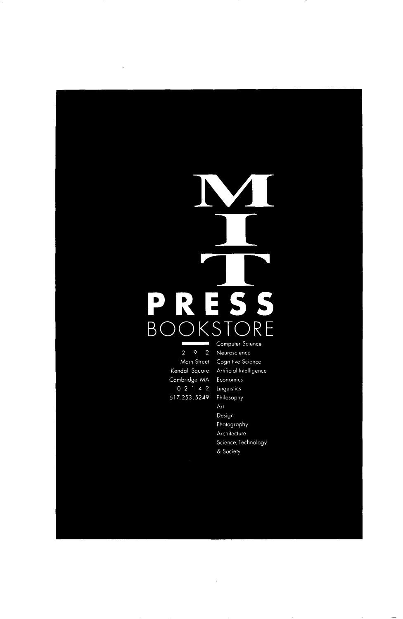### $\overline{D}$ S S  $\overline{\mathbf{L}}$ R **BO**  $K$  $\overline{S}$ R ų Computer Science J.

 $\bar{z}$ 

Main Street Kendall Square Cambridge MA<br>0 2 1 4 2 617.253.5249 Neuroscience Cognitive Science Artificial Intelligence Economics Linguistics Philosophy Art Design Photography Architecture Science, Technology & Society

 $\overline{\phantom{a}}$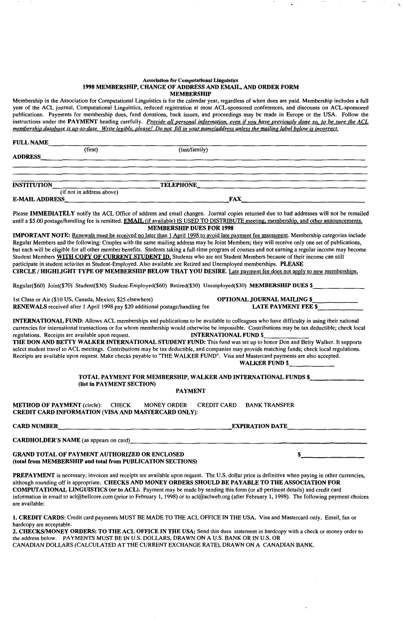#### **Association for Computational Linguistics**  1998 MEMBERSHIP, CHANGE OF ADDRESS AND EMAJL, AND ORDER FORM **MEMBERSHIP**

Membership in the Association for Computational Linguistics is for the calendar year, regardless of when dues are paid. Membership includes a full year of the ACL journal, Computational Linguistics, reduced registration at most ACL-sponsored conferences, and discounts on ACL-sponsored publications. Payments for membership dues, fund donations, back issues, and proceedings may be made in Europe or the USA. Follow the instructions under the PAYMENT heading carefully. *Provide all personal information, even if you have previously done so, to be sure the ACL membership database is up-to-date. Write legibly, please! Do not till in your name/address unless the mailing label below is incorrect.* 

| <b>FULL NAME</b>   |                                                                                                                     |                                                                               |                                                                                                                                                                                                                                                                                                                                                                                                                                                                                                                                                                                                                                                                                                                                                                                                                       |  |
|--------------------|---------------------------------------------------------------------------------------------------------------------|-------------------------------------------------------------------------------|-----------------------------------------------------------------------------------------------------------------------------------------------------------------------------------------------------------------------------------------------------------------------------------------------------------------------------------------------------------------------------------------------------------------------------------------------------------------------------------------------------------------------------------------------------------------------------------------------------------------------------------------------------------------------------------------------------------------------------------------------------------------------------------------------------------------------|--|
|                    | (first)                                                                                                             | (last/family)                                                                 |                                                                                                                                                                                                                                                                                                                                                                                                                                                                                                                                                                                                                                                                                                                                                                                                                       |  |
|                    |                                                                                                                     |                                                                               |                                                                                                                                                                                                                                                                                                                                                                                                                                                                                                                                                                                                                                                                                                                                                                                                                       |  |
| <b>INSTITUTION</b> |                                                                                                                     |                                                                               | (if not in address above) <b>TELEPHONE</b>                                                                                                                                                                                                                                                                                                                                                                                                                                                                                                                                                                                                                                                                                                                                                                            |  |
|                    |                                                                                                                     |                                                                               |                                                                                                                                                                                                                                                                                                                                                                                                                                                                                                                                                                                                                                                                                                                                                                                                                       |  |
|                    |                                                                                                                     | <b>MEMBERSHIP DUES FOR 1998</b>                                               | Please IMMEDIATELY notify the ACL Office of address and email changes. Journal copies returned due to bad addresses will not be remailed<br>until a \$5.00 postage/handling fee is remitted. EMAIL (if available) IS USED TO DISTRIBUTE meeting, membership, and other announcements.                                                                                                                                                                                                                                                                                                                                                                                                                                                                                                                                 |  |
|                    |                                                                                                                     |                                                                               | IMPORTANT NOTE: Renewals must be received no later than 1 April 1998 to avoid late payment fee assessment. Membership categories include<br>Regular Members and the following: Couples with the same mailing address may be Joint Members; they will receive only one set of publications,<br>but each will be eligible for all other member benefits. Students taking a full-time program of courses and not earning a regular income may become<br>Student Members WITH COPY OF CURRENT STUDENT ID, Students who are not Student Members because of their income can still<br>participate in student activites as Student-Employed. Also available are Retired and Unemployed memberships. PLEASE<br>CIRCLE/HIGHLIGHT TYPE OF MEMBERSHIP BELOW THAT YOU DESIRE. Late payment fee does not apply to new memberships. |  |
|                    |                                                                                                                     |                                                                               | Regular(\$60) Joint(\$70) Student(\$30) Student-Employed(\$60) Retired(\$30) Unemployed(\$30) MEMBERSHIP DUES \$                                                                                                                                                                                                                                                                                                                                                                                                                                                                                                                                                                                                                                                                                                      |  |
|                    | 1st Class or Air (\$10 US, Canada, Mexico; \$25 elsewhere)                                                          | RENEWALS received after 1 April 1998 pay \$20 additional postage/handling fee | OPTIONAL JOURNAL MAILING \$<br><b>LATE PAYMENT FEE \$</b>                                                                                                                                                                                                                                                                                                                                                                                                                                                                                                                                                                                                                                                                                                                                                             |  |
|                    | regulations. Receipts are available upon request.                                                                   |                                                                               | <b>INTERNATIONAL FUND:</b> Allows ACL memberships and publications to be available to colleagues who have difficulty in using their national<br>currencies for international transactions or for whom membership would otherwise be impossible. Contributions may be tax deductible; check local<br><b>INTERNATIONAL FUND \$</b><br>THE DON AND BETTY WALKER INTERNATIONAL STUDENT FUND: This fund was set up to honor Don and Betty Walker. It supports<br>select student travel to ACL meetings. Contributions may be tax deductible, and companies may provide matching funds; check local regulations.<br>Receipts are available upon request. Make checks payable to "THE WALKER FUND". Visa and Mastercard payments are also accepted.<br>WALKER FUND $\frac{1}{2}$                                             |  |
|                    | (list in PAYMENT SECTION)                                                                                           |                                                                               | TOTAL PAYMENT FOR MEMBERSHIP, WALKER AND INTERNATIONAL FUNDS \$________                                                                                                                                                                                                                                                                                                                                                                                                                                                                                                                                                                                                                                                                                                                                               |  |
|                    |                                                                                                                     | <b>PAYMENT</b>                                                                |                                                                                                                                                                                                                                                                                                                                                                                                                                                                                                                                                                                                                                                                                                                                                                                                                       |  |
|                    | METHOD OF PAYMENT (circle): CHECK MONEY ORDER<br><b>CREDIT CARD INFORMATION (VISA AND MASTERCARD ONLY):</b>         |                                                                               | <b>CREDIT CARD BANK TRANSFER</b>                                                                                                                                                                                                                                                                                                                                                                                                                                                                                                                                                                                                                                                                                                                                                                                      |  |
|                    |                                                                                                                     | CARD NUMBER EXPIRATION DATE                                                   |                                                                                                                                                                                                                                                                                                                                                                                                                                                                                                                                                                                                                                                                                                                                                                                                                       |  |
|                    |                                                                                                                     |                                                                               | CARDHOLDER'S NAME (as appears on card)<br>The contract of the contract of the contract of the contract of the contract of the contract of the contract of the contract of the contract of the contract of the contract of the co                                                                                                                                                                                                                                                                                                                                                                                                                                                                                                                                                                                      |  |
|                    | <b>GRAND TOTAL OF PAYMENT AUTHORIZED OR ENCLOSED</b><br>(total from MEMBERSHIP and total from PUBLICATION SECTIONS) |                                                                               |                                                                                                                                                                                                                                                                                                                                                                                                                                                                                                                                                                                                                                                                                                                                                                                                                       |  |
|                    |                                                                                                                     |                                                                               | <b>DDEPAVMENT</b> is pecessary invoices and regaints are available upon request. The U.S. dollar price is definitive when paying in other currencies                                                                                                                                                                                                                                                                                                                                                                                                                                                                                                                                                                                                                                                                  |  |

PREPAYMENT is necessary; invoices and receipts are available upon request. The U.S. dollar price is definitive when paying in other currencies, although rounding off is appropriate. CHECKS AND MONEY ORDERS SHOULD BE PAYABLE TO THE ASSOCIATION FOR COMPUTATIONAL LINGUISTICS (or to ACL). Payment may be made by sending this form (or all pertinent details) and credit card information in email to acl@bellcore.com (prior to February l, 1998) or to acl@aclweb.org (after February 1, 1998). The following payment choices are available:

1. CREDIT CARDS: Credit card payments MUST BE MADE TO THE ACL OFFICE IN THE USA. Visa and Mastercard only. Email, fax or hardcopy are acceptable.

accopy as acception of the ACL OFFICE IN THE USA: Send this dues statement in hardcopy with a check or money order to the address below. PAYMENTS MUST BE IN U.S. DOLLARS, DRAWN ON A U.S. BANK OR IN U.S. OR CANADIAN DOLLARS (CALCULATED AT THE CURRENT EXCHANGE RATE), DRAWN ON A CANADIAN BANK.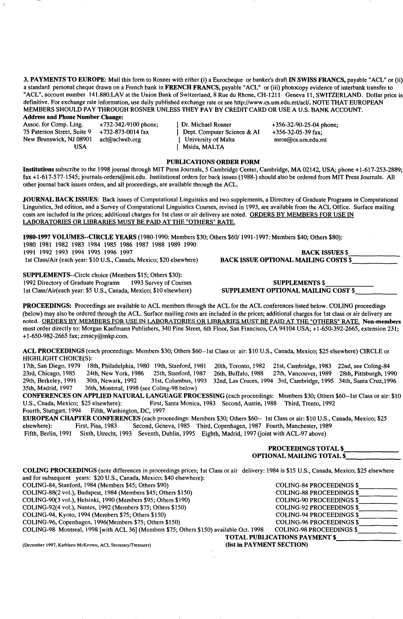**3. PAYMENTS TO EUROPE:** Mail this form to Rosner with either (i) a Eurocheque or banker's draft IN SWISS FRANCS, payable "ACL" or (ii) a standard personal cheque drawn on a French bank in FRENCH FRANCS, payable "ACL" or (iii) photocopy evidence of interbank transfer to "ACL", account number 141.880.LAV at the Union Bank of Switzerland, 8 Rue du Rhone, CH-1211 Geneva 11, SWITZERLAND. Dollar price is definitive. For exchange rate information, use daily published exchange rate or see http://www.cs.um.edu.mt/acl/. NOTE THAT EUROPEAN MEMBERS SHOULD PAY THROUGH ROSNER UNLESS THEY PAY BY CREDIT CARD OR USE A U.S. BANK ACCOUNT.

Address and Phone Number Change:<br>Assoc. for Comp. Ling. +732-342-9100 phone: New Brunswick, NJ 08901<br>USA

Assoc. for Comp. Ling.  $+732-342-9100$  phone; <br>
75 Paterson Street, Suite 9  $+732-873-0014$  fax <br>
1 Dept. Computer Science & AI  $+356-32-05-39$  fax:  $+732-873-0014$  fax <br>acl@aclweb.org | University of Malta mros@cs.um.edu.mt | Msida, MALTA

#### **PUBLICATIONS ORDER FORM**

Institutions subscribe to the 1998 journal through MIT Press Journals, 5 Cambridge Center, Cambridge, MA 02142, USA; phone +1-617-253-2889; fax +1-617-577-1545; journals-orders@mit.edu. Institutional orders for back issues (1988-) should also be ordered from MIT Press Journals. All other journal back issues orders, and all proceedings, are available through the ACL.

JOURNAL BACK ISSUES: Back issues of Computational Linguistics and two supplements, a Directory of Graduate Programs in Computational Linguistics, 3rd edition, and a Survey of Computational Linguistics Courses, revised in 1993, are available from the ACL Office. Surface mailing costs are included in the prices; additional charges for 1st class or air delivery are noted. ORDERS BY MEMBERS FOR USE IN LABORATORIES OR LIBRARIES MUST BE PAID AT THE "OTHERS" RATE.

1980-1997 VOLUMES--CIRCLE YEARS (1980-1990: Members \$30; Others \$60/1991-1997: Members \$40; Others \$80): 1980 1981 1982 1983 1984 1985 1986 1987 1988 1989 1990 1991 1992 1993 1994 1995 1996 1997 BACK ISSUES \$ 1st Class/Air (each year: \$10 U.S., Canada, Mexico; \$20 elsewhere) BACK ISSUE OPTIONAL MAILING COSTS \$

SUPPLEMENTS--Circle choice (Members \$15; Others \$30):

1st Class/Air(each year: \$5 U.S., Canada, Mexico; \$10 elsewhere)

1992 Directory of Graduate Programs

SUPPLEMENTS \$

SUPPLEMENT OPTIONAL MAILING COST \$

**PROCEEDINGS:** Proceedings are available to ACL members through the ACL for the ACL conferences listed below. COLING proceedings (below) may also be ordered through the ACL. Surface mailing costs are included in the prices; additional charges for 1st class or air delivery are noted. ORDERS BY MEMBERS FOR USE IN LABORATORIES OR LIBRARIES MUST BE PAID AT THE "OTHERS" RATE. Non-members must order directly to: Morgan Kaufmann Publishers, 340 Pine Street, 6th Floor, San Francisco, CA 94104 USA; +1-650-392-2665, extension 231; + 1-650-982-2665 fax; zmacy@mkp.com.

**ACL** PROCEEDINGS (each proceedings: Members \$30; Others \$60--lst Class or air: \$10 U.S., Canada, Mexico; \$25 elsewhere) CIRCLE or HIGHLIGHT CHOICE(S):<br>17th, San Diego, 1979 18th, Philadelphia, 1980 19th, Stanford, 1981

20th, Toronto, 1982 21st, Cambridge, 1983 22nd, see Coling-84 23rd, Chicago, 1985 24th, New York, 1986 25th, Stanford, 1987 26th, Buffalo, 1988 27th, Vancouver, 1989 28th, Pittsburgh, 1990<br>29th, Berkeley, 1991 30th, Newark, 1992 31st, Columbus, 1993 32nd, Las Cruces, 1994 3rd, Cambri 29th, Berkeley, 1991 30th, Newark, 1992 31st, Columbus, 1993 32nd, Las Cruces, 1994 3rd, Cambridge, 1995 34th, Santa Cruz, 1996<br>35th, Madrid, 1997 36th, Montreal, 1998 (see Coling-98 below) 36th, Montreal, 1998 (see Coling-98 below)

CONFERENCES ON APPLIED NATURAL LANGUAGE PROCESSING (each proceedings: Members \$30; Others \$60--1st Class or air: \$10<br>U.S., Cnada, Mexico; \$25 elsewhere): First, Santa Monica, 1983 Second, Austin, 1988 Third, Trento, 1992 First, Santa Monica, 1983 Second, Austin, 1988 Third, Trento, 1992 Fourth, Stuttgart, 1994 Fifth, Washington, DC, 1997

EUROPEAN CHAPTER CONFERENCES (each proceedings: Members \$30; Others \$60-- 1st Class or air: \$10 U.S., Canada, Mexico; \$25<br>elsewhere): First, Pisa, 1983 Second, Geneva, 1985 Third, Copenhagen, 1987 Fourth, Manchester, 1989 Second, Geneva, 1985 Third, Copenhagen, 1987 Fourth, Manchester, 1989 Fifth, Berlin, 1991 Sixth, Utrecht, 1993 Seventh, Dublin, 1995 Eighth, Madrid, 1997 (joint with ACL-97 above)

|                                                                                                                                                                                                                          | <b>PROCEEDINGS TOTAL \$</b><br><b>OPTIONAL MAILING TOTAL \$</b> |  |  |
|--------------------------------------------------------------------------------------------------------------------------------------------------------------------------------------------------------------------------|-----------------------------------------------------------------|--|--|
| <b>COLING PROCEEDINGS</b> (note differences in proceedings prices; 1st Class or air delivery: 1984 is \$15 U.S., Canada, Mexico; \$25 elsewhere<br>and for subsequent years: \$20 U.S., Canada, Mexico; \$40 elsewhere): |                                                                 |  |  |
| COLING-84, Stanford, 1984 (Members \$45; Others \$90)                                                                                                                                                                    | <b>COLING-84 PROCEEDINGS \$</b>                                 |  |  |
| COLING-88(2 vol.), Budapest, 1984 (Members \$45; Others \$150)                                                                                                                                                           | <b>COLING-88 PROCEEDINGS \$</b>                                 |  |  |
| COLING-90(3 vol.), Helsinki, 1990 (Members \$95; Others \$190)                                                                                                                                                           | <b>COLING-90 PROCEEDINGS \$</b>                                 |  |  |
| COLING-92(4 vol.), Nantes, 1992 (Members \$75; Others \$150)                                                                                                                                                             | <b>COLING-92 PROCEEDINGS \$</b>                                 |  |  |
| COLING-94, Kyoto, 1994 (Members \$75; Others \$150)                                                                                                                                                                      | <b>COLING-94 PROCEEDINGS \$</b>                                 |  |  |
| COLING-96, Copenhagen, 1996(Members \$75; Others \$150)                                                                                                                                                                  | <b>COLING-96 PROCEEDINGS \$</b>                                 |  |  |
| COLING-98 Montreal, 1998 [with ACL 36] (Members \$75; Others \$150) available Oct. 1998                                                                                                                                  | <b>COLING-98 PROCEEDINGS \$</b>                                 |  |  |
| <b>TOTAL PUBLICATIONS PAYMENT \$</b>                                                                                                                                                                                     |                                                                 |  |  |

(list in PAYMENT SECTION)

(December 1997, Kathleen McKeown, ACL Secretary/Treasurer)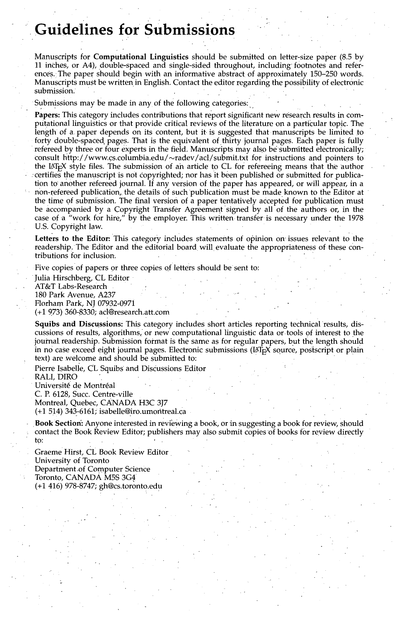## **Guidelines for SUbmissions**

Manuscripts for Computational Linguistics should be submitted on letter-size paper (8.5 by 11 inches, or A4), double-spaced and single-sided throughout, including footnotes and references.: The paper should begin with an informative abstract of approximately 150-250 words. Manuscripts must be written, in English. Contact the editor regarding the possibility of electronic submission.

Submissions may be made in any of the following categories:

Papers: This category includes contributions that report significant new research results in computational linguistics or that provide critical reviews of the literature on a particular topic. The length of a paper depends on its content, but it is suggested that manuscripts be limited to forty double-spaced pages. That is the equivalent of thirty journal pages. Each paper is fully refereed by three or four experts in the field. Manuscripts may also be submitted electronically; Consult http://www.cs.columbia.edu/~radev/acl/submit.txt for instructions and pointers to the IATEX style files. The Submission of an article to CL for refereeing means that the author  $\alpha$ : certifies the manuscript is not copyrighted; nor has it been published or submitted for publication to another refereed journal. If any version of the paper has appeared, or will appear, in a non-refereed publication,, the details of such publication must be made known to the Editor at the time of submission. The final version of a paper tentatively accepted for publication must be accompanied by a Copyright Transfer Agreement signed by all of the authors or, in the case of a "work for hire," by the employer. This written transfer is necessary under the 1978 U.S. Copyright law.

Letters to the Editor: This category includes statements of opinion on issues relevant to the readership. The Editor and the editorial board will evaluate the appropriateness of these contributions for inclusion-.

Five copies of papers or three copies of letters should be sent to:

Julia Hirschberg, CL Editor AT&T Labs-Research 180 Park Avenue, A237 Florham Park, NJ 07932-0971 (+1 973) 360-8330; acl@research.att.com

Squibs and Discussions: This category includes short articles reporting technical results, discussions of results, algorithms, or new computational linguistic data or tools of interest to the journal readership. Submission format is the same as for regular papers, but the length should in no case exceed eight journal pages. Electronic submissions ( $[4T<sub>F</sub>X$  source, postscript or plain text) are welcome and should be submitted to:

Pierre Isabelle, CL Squibs and Discussions Editor RALI, DIRO Université de Montréal C. P. 6128, Succ. Centre-ville Montreal, Quebec, CANADA H3C 3J7

 $(+1\ 514)$  343-6161; isabelle@iro.umontreal.ca

Book Section: Anyone interested in reviewing a book, or in suggesting a book for review, should contact the Book Review Editor; publishers may also submit copies of books for review directly to:

Graeme Hirst, CL Book Review Editor , University of Toronto Department of Computer Science Toronto, CANADA M5S 3G4 (+1 416) 978-8747; gh@cs.toront0.ed u